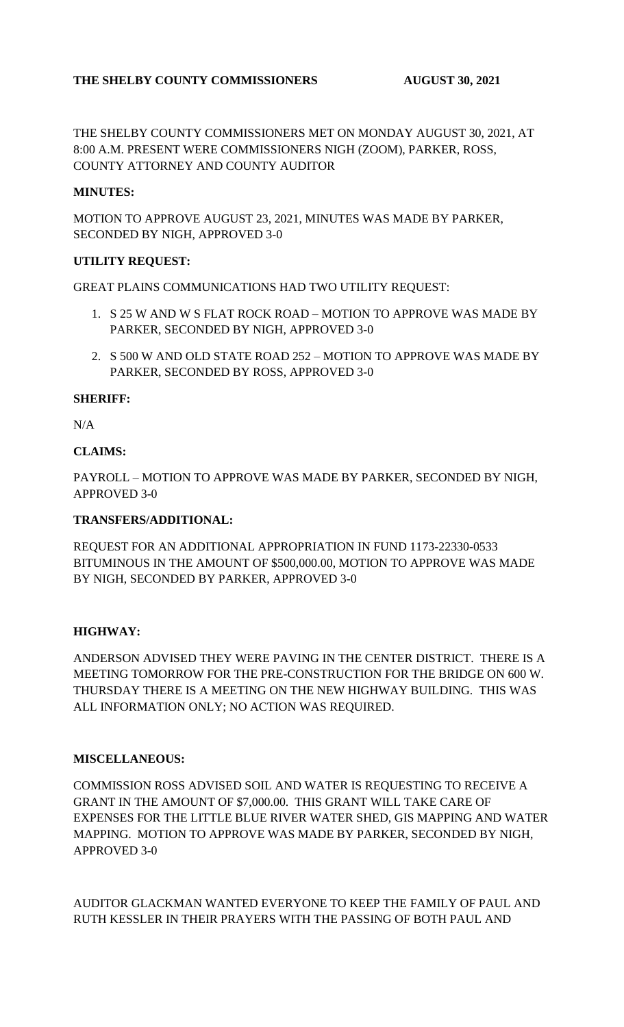## **THE SHELBY COUNTY COMMISSIONERS AUGUST 30, 2021**

THE SHELBY COUNTY COMMISSIONERS MET ON MONDAY AUGUST 30, 2021, AT 8:00 A.M. PRESENT WERE COMMISSIONERS NIGH (ZOOM), PARKER, ROSS, COUNTY ATTORNEY AND COUNTY AUDITOR

## **MINUTES:**

MOTION TO APPROVE AUGUST 23, 2021, MINUTES WAS MADE BY PARKER, SECONDED BY NIGH, APPROVED 3-0

### **UTILITY REQUEST:**

GREAT PLAINS COMMUNICATIONS HAD TWO UTILITY REQUEST:

- 1. S 25 W AND W S FLAT ROCK ROAD MOTION TO APPROVE WAS MADE BY PARKER, SECONDED BY NIGH, APPROVED 3-0
- 2. S 500 W AND OLD STATE ROAD 252 MOTION TO APPROVE WAS MADE BY PARKER, SECONDED BY ROSS, APPROVED 3-0

### **SHERIFF:**

N/A

### **CLAIMS:**

PAYROLL – MOTION TO APPROVE WAS MADE BY PARKER, SECONDED BY NIGH, APPROVED 3-0

#### **TRANSFERS/ADDITIONAL:**

REQUEST FOR AN ADDITIONAL APPROPRIATION IN FUND 1173-22330-0533 BITUMINOUS IN THE AMOUNT OF \$500,000.00, MOTION TO APPROVE WAS MADE BY NIGH, SECONDED BY PARKER, APPROVED 3-0

## **HIGHWAY:**

ANDERSON ADVISED THEY WERE PAVING IN THE CENTER DISTRICT. THERE IS A MEETING TOMORROW FOR THE PRE-CONSTRUCTION FOR THE BRIDGE ON 600 W. THURSDAY THERE IS A MEETING ON THE NEW HIGHWAY BUILDING. THIS WAS ALL INFORMATION ONLY; NO ACTION WAS REQUIRED.

#### **MISCELLANEOUS:**

COMMISSION ROSS ADVISED SOIL AND WATER IS REQUESTING TO RECEIVE A GRANT IN THE AMOUNT OF \$7,000.00. THIS GRANT WILL TAKE CARE OF EXPENSES FOR THE LITTLE BLUE RIVER WATER SHED, GIS MAPPING AND WATER MAPPING. MOTION TO APPROVE WAS MADE BY PARKER, SECONDED BY NIGH, APPROVED 3-0

AUDITOR GLACKMAN WANTED EVERYONE TO KEEP THE FAMILY OF PAUL AND RUTH KESSLER IN THEIR PRAYERS WITH THE PASSING OF BOTH PAUL AND